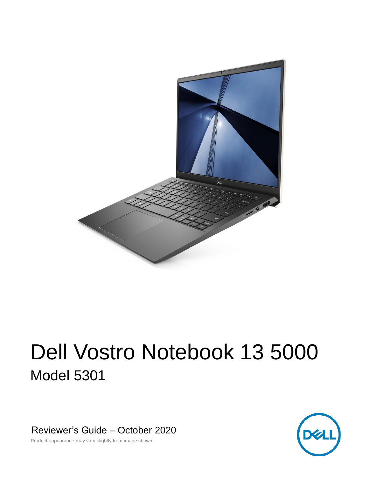

# Dell Vostro Notebook 13 5000 Model 5301

Reviewer's Guide – October 2020



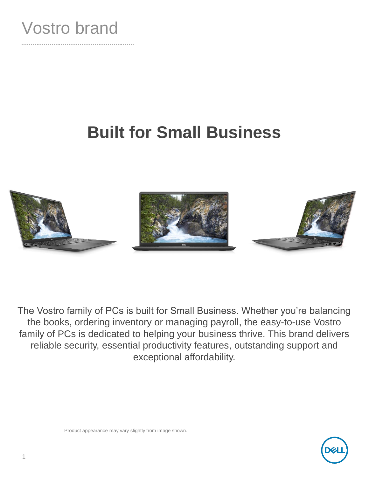

# **Built for Small Business**



The Vostro family of PCs is built for Small Business. Whether you're balancing the books, ordering inventory or managing payroll, the easy-to-use Vostro family of PCs is dedicated to helping your business thrive. This brand delivers reliable security, essential productivity features, outstanding support and exceptional affordability.

Product appearance may vary slightly from image shown.

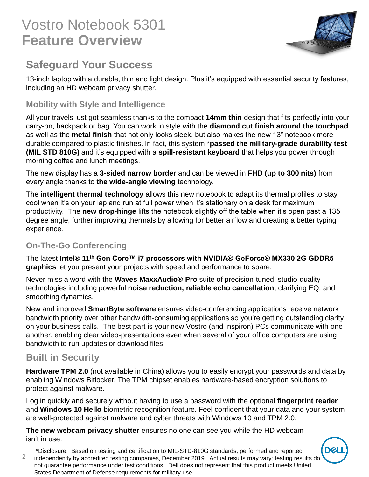## Vostro Notebook 5301 **Feature Overview**



## **Safeguard Your Success**

13-inch laptop with a durable, thin and light design. Plus it's equipped with essential security features, including an HD webcam privacy shutter.

### **Mobility with Style and Intelligence**

All your travels just got seamless thanks to the compact **14mm thin** design that fits perfectly into your carry-on, backpack or bag. You can work in style with the **diamond cut finish around the touchpad**  as well as the **metal finish** that not only looks sleek, but also makes the new 13" notebook more durable compared to plastic finishes. In fact, this system \***passed the military-grade durability test (MIL STD 810G)** and it's equipped with a **spill-resistant keyboard** that helps you power through morning coffee and lunch meetings.

The new display has a **3-sided narrow border** and can be viewed in **FHD (up to 300 nits)** from every angle thanks to **the wide-angle viewing** technology.

The **intelligent thermal technology** allows this new notebook to adapt its thermal profiles to stay cool when it's on your lap and run at full power when it's stationary on a desk for maximum productivity. The **new drop-hinge** lifts the notebook slightly off the table when it's open past a 135 degree angle, further improving thermals by allowing for better airflow and creating a better typing experience.

### **On-The-Go Conferencing**

The latest **Intel® 11th Gen Core™ i7 processors with NVIDIA® GeForce® MX330 2G GDDR5 graphics** let you present your projects with speed and performance to spare.

Never miss a word with the **Waves MaxxAudio® Pro** suite of precision-tuned, studio-quality technologies including powerful **noise reduction, reliable echo cancellation**, clarifying EQ, and smoothing dynamics.

New and improved **SmartByte software** ensures video-conferencing applications receive network bandwidth priority over other bandwidth-consuming applications so you're getting outstanding clarity on your business calls. The best part is your new Vostro (and Inspiron) PCs communicate with one another, enabling clear video-presentations even when several of your office computers are using bandwidth to run updates or download files.

### **Built in Security**

**Hardware TPM 2.0** (not available in China) allows you to easily encrypt your passwords and data by enabling Windows Bitlocker. The TPM chipset enables hardware-based encryption solutions to protect against malware.

Log in quickly and securely without having to use a password with the optional **fingerprint reader**  and **Windows 10 Hello** biometric recognition feature. Feel confident that your data and your system are well-protected against malware and cyber threats with Windows 10 and TPM 2.0.

**The new webcam privacy shutter** ensures no one can see you while the HD webcam isn't in use.

2 \*Disclosure: Based on testing and certification to MIL-STD-810G standards, performed and reported independently by accredited testing companies, December 2019. Actual results may vary; testing results do not guarantee performance under test conditions. Dell does not represent that this product meets United States Department of Defense requirements for military use.

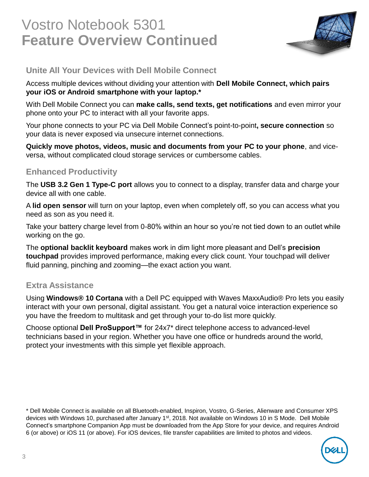## Vostro Notebook 5301 **Feature Overview Continued**



### **Unite All Your Devices with Dell Mobile Connect**

Access multiple devices without dividing your attention with **Dell Mobile Connect, which pairs your iOS or Android smartphone with your laptop.\*** 

With Dell Mobile Connect you can **make calls, send texts, get notifications** and even mirror your phone onto your PC to interact with all your favorite apps.

Your phone connects to your PC via Dell Mobile Connect's point-to-point**, secure connection** so your data is never exposed via unsecure internet connections.

**Quickly move photos, videos, music and documents from your PC to your phone**, and viceversa, without complicated cloud storage services or cumbersome cables.

### **Enhanced Productivity**

The **USB 3.2 Gen 1 Type-C port** allows you to connect to a display, transfer data and charge your device all with one cable.

A **lid open sensor** will turn on your laptop, even when completely off, so you can access what you need as son as you need it.

Take your battery charge level from 0-80% within an hour so you're not tied down to an outlet while working on the go.

The **optional backlit keyboard** makes work in dim light more pleasant and Dell's **precision touchpad** provides improved performance, making every click count. Your touchpad will deliver fluid panning, pinching and zooming—the exact action you want.

### **Extra Assistance**

Using **Windows® 10 Cortana** with a Dell PC equipped with Waves MaxxAudio® Pro lets you easily interact with your own personal, digital assistant. You get a natural voice interaction experience so you have the freedom to multitask and get through your to-do list more quickly.

Choose optional **Dell ProSupport™** for 24x7\* direct telephone access to advanced-level technicians based in your region. Whether you have one office or hundreds around the world, protect your investments with this simple yet flexible approach.

\* Dell Mobile Connect is available on all Bluetooth-enabled, Inspiron, Vostro, G-Series, Alienware and Consumer XPS devices with Windows 10, purchased after January 1<sup>st</sup>, 2018. Not available on Windows 10 in S Mode. Dell Mobile Connect's smartphone Companion App must be downloaded from the App Store for your device, and requires Android 6 (or above) or iOS 11 (or above). For iOS devices, file transfer capabilities are limited to photos and videos.

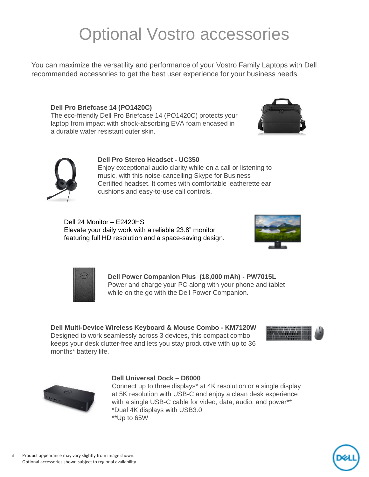# Optional Vostro accessories

You can maximize the versatility and performance of your Vostro Family Laptops with Dell recommended accessories to get the best user experience for your business needs.

**Dell Pro Briefcase 14 (PO1420C)** The eco-friendly Dell Pro Briefcase 14 (PO1420C) protects your laptop from impact with shock-absorbing EVA foam encased in a durable water resistant outer skin.





#### **Dell Pro Stereo Headset - UC350**

Enjoy exceptional audio clarity while on a call or listening to music, with this noise-cancelling Skype for Business Certified headset. It comes with comfortable leatherette ear cushions and easy-to-use call controls.

Dell 24 Monitor – E2420HS Elevate your daily work with a reliable 23.8" monitor featuring full HD resolution and a space-saving design.





**Dell Power Companion Plus (18,000 mAh) - PW7015L** Power and charge your PC along with your phone and tablet while on the go with the Dell Power Companion.

**Dell Multi-Device Wireless Keyboard & Mouse Combo - KM7120W**  Designed to work seamlessly across 3 devices, this compact combo keeps your desk clutter-free and lets you stay productive with up to 36 months\* battery life.





#### **Dell Universal Dock – D6000**

Connect up to three displays\* at 4K resolution or a single display at 5K resolution with USB-C and enjoy a clean desk experience with a single USB-C cable for video, data, audio, and power\*\* \*Dual 4K displays with USB3.0 \*\*Up to 65W

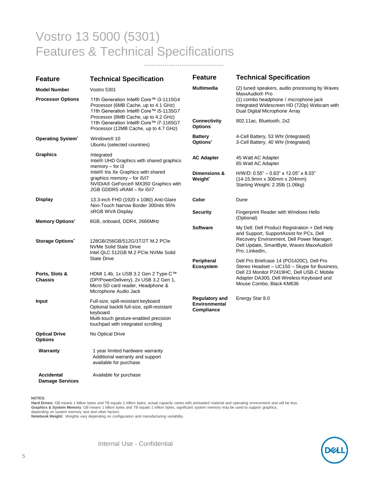## Vostro 13 5000 (5301) Features & Technical Specifications

| Feature                                                      | <b>Technical Specification</b>                                                                                                                                                                                                                      | <b>Feature</b>                                       | <b>Technical Specification</b>                                                                                                                                                                         |
|--------------------------------------------------------------|-----------------------------------------------------------------------------------------------------------------------------------------------------------------------------------------------------------------------------------------------------|------------------------------------------------------|--------------------------------------------------------------------------------------------------------------------------------------------------------------------------------------------------------|
| <b>Model Number</b>                                          | Vostro 5301                                                                                                                                                                                                                                         | <b>Multimedia</b>                                    | (2) tuned speakers, audio processing by Waves<br>MaxxAudio <sup>®</sup> Pro                                                                                                                            |
| <b>Processor Options</b>                                     | 11th Generation Intel® Core™ i3-1115G4<br>Processor (6MB Cache, up to 4.1 GHz)<br>11th Generation Intel® Core™ i5-1135G7<br>Processor (8MB Cache, up to 4.2 GHz)<br>11th Generation Intel® Core™ i7-1165G7<br>Processor (12MB Cache, up to 4.7 GHz) |                                                      | (1) combo headphone / microphone jack<br>Integrated Widescreen HD (720p) Webcam with<br>Dual Digital Microphone Array                                                                                  |
|                                                              |                                                                                                                                                                                                                                                     | <b>Connectivity</b><br><b>Options</b>                | 802.11ac, Bluetooth, 2x2                                                                                                                                                                               |
| <b>Operating System<sup>*</sup></b>                          | Windows <sup>®</sup> 10<br>Ubuntu (selected countries)                                                                                                                                                                                              | <b>Battery</b><br>Options <sup>*</sup>               | 4-Cell Battery, 53 Whr (Integrated)<br>3-Cell Battery, 40 Whr (Integrated)                                                                                                                             |
| <b>Graphics</b>                                              | Integrated<br>Intel® UHD Graphics with shared graphics<br>memory $-$ for i3<br>Intel® Iris Xe Graphics with shared<br>graphics memory $-$ for i5/i7<br>NVIDIA® GeForce® MX350 Graphics with<br>2GB GDDR5 vRAM - for i5/i7                           | <b>AC Adapter</b>                                    | 45 Watt AC Adapter<br>65 Watt AC Adapter                                                                                                                                                               |
|                                                              |                                                                                                                                                                                                                                                     | Dimensions &<br>Weight <sup>*</sup>                  | $H/W/D$ : 0.55" - 0.63" x 12.05" x 8.03"<br>(14-15.9mm x 306mm x 204mm)<br>Starting Weight: 2.35lb (1.06kg)                                                                                            |
| <b>Display</b>                                               | 13.3-inch FHD (1920 x 1080) Anti-Glare<br>Non-Touch Narrow Border 300nits 95%<br>sRGB WVA Display                                                                                                                                                   | Color                                                | Dune                                                                                                                                                                                                   |
|                                                              |                                                                                                                                                                                                                                                     | <b>Security</b>                                      | <b>Fingerprint Reader with Windows Hello</b><br>(Optional)                                                                                                                                             |
| <b>Memory Options<sup>*</sup></b><br><b>Storage Options*</b> | 8GB, onboard, DDR4, 2666MHz<br>128GB/256GB/512G/1T/2T M.2 PCIe<br><b>NVMe Solid State Drive</b>                                                                                                                                                     | <b>Software</b>                                      | My Dell: Dell Product Registration + Dell Help<br>and Support, SupportAssist for PCs, Dell<br>Recovery Environment, Dell Power Manager,<br>Dell Update, SmartByte, Waves MaxxAudio®<br>Pro, LinkedIn,. |
|                                                              | Intel QLC 512GB M.2 PCIe NVMe Solid<br><b>State Drive</b>                                                                                                                                                                                           | Peripheral                                           | Dell Pro Briefcase 14 (PO1420C), Dell Pro                                                                                                                                                              |
| Ports, Slots &<br><b>Chassis</b>                             | HDMI 1.4b, 1x USB 3.2 Gen 2 Type-C™<br>(DP/PowerDelivery), 2x USB 3.2 Gen 1,<br>Micro SD card reader, Headphone &<br>Microphone Audio Jack                                                                                                          | Ecosystem                                            | Stereo Headset - UC150 - Skype for Business,<br>Dell 23 Monitor P2419HC, Dell USB-C Mobile<br>Adapter DA300, Dell Wireless Keyboard and<br>Mouse Combo, Black KM636                                    |
| Input                                                        | Full-size, spill-resistant keyboard<br>Optional backlit full-size, spill-resistant<br>keyboard<br>Multi-touch gesture-enabled precision<br>touchpad with integrated scrolling                                                                       | <b>Regulatory and</b><br>Environmental<br>Compliance | Energy Star 8.0                                                                                                                                                                                        |
| <b>Optical Drive</b><br><b>Options</b>                       | No Optical Drive                                                                                                                                                                                                                                    |                                                      |                                                                                                                                                                                                        |
| Warranty                                                     | 1 year limited hardware warranty<br>Additional warranty and support<br>available for purchase                                                                                                                                                       |                                                      |                                                                                                                                                                                                        |
| <b>Accidental</b>                                            | Available for purchase                                                                                                                                                                                                                              |                                                      |                                                                                                                                                                                                        |

**Accidental Damage Services**

**NOTES:**

**Hard Drives:** GB means 1 billion bytes and TB equals 1 trillion bytes; actual capacity varies with preloaded material and operating environment and will be less.<br>**Graphics & System Memory**: GB means 1 billion bytes and TB

**Notebook Weight:** Weights vary depending on configuration and manufacturing variability.

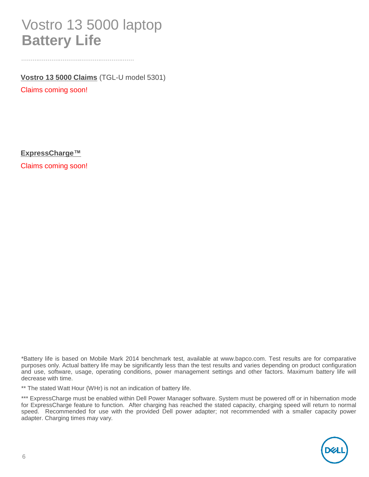## Vostro 13 5000 laptop **Battery Life**

**Vostro 13 5000 Claims** (TGL-U model 5301)

Claims coming soon!

**ExpressCharge™**

Claims coming soon!

\*Battery life is based on Mobile Mark 2014 benchmark test, available at www.bapco.com. Test results are for comparative purposes only. Actual battery life may be significantly less than the test results and varies depending on product configuration and use, software, usage, operating conditions, power management settings and other factors. Maximum battery life will decrease with time.

\*\* The stated Watt Hour (WHr) is not an indication of battery life.

\*\*\* ExpressCharge must be enabled within Dell Power Manager software. System must be powered off or in hibernation mode for ExpressCharge feature to function. After charging has reached the stated capacity, charging speed will return to normal speed. Recommended for use with the provided Dell power adapter; not recommended with a smaller capacity power adapter. Charging times may vary.

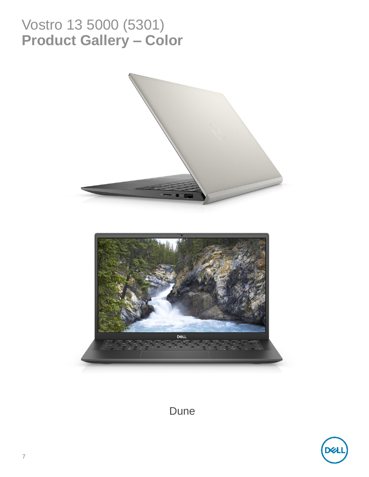## Vostro 13 5000 (5301) **Product Gallery – Color**



**Dune** 

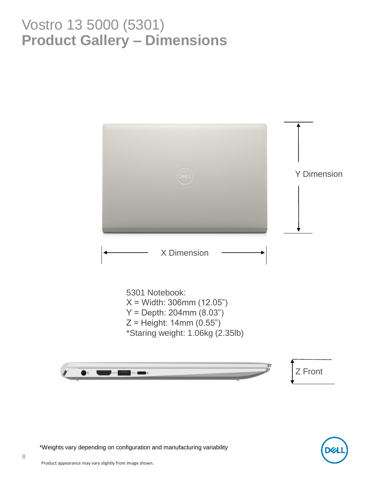## Vostro 13 5000 (5301) **Product Gallery – Dimensions**





\*Weights vary depending on configuration and manufacturing variability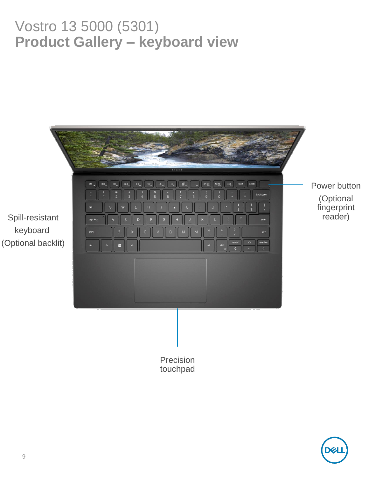# Vostro 13 5000 (5301) **Product Gallery – keyboard view**



touchpad

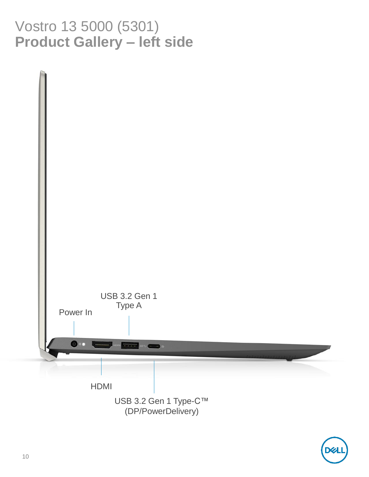## Vostro 13 5000 (5301) **Product Gallery – left side**



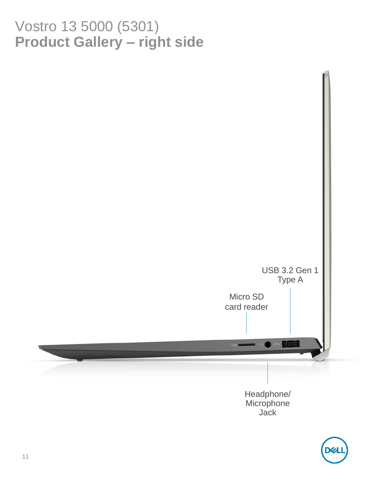## Vostro 13 5000 (5301) **Product Gallery – right side**



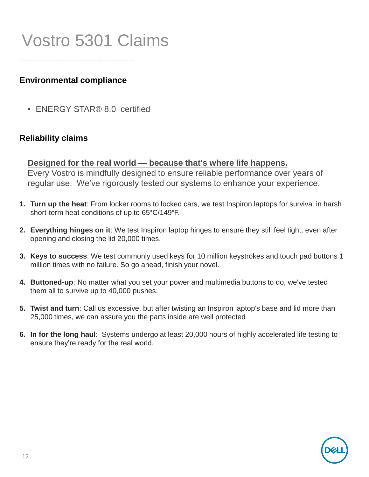# Vostro 5301 Claims

### **Environmental compliance**

• ENERGY STAR® 8.0 certified

### **Reliability claims**

### **Designed for the real world — because that's where life happens.**

Every Vostro is mindfully designed to ensure reliable performance over years of regular use. We've rigorously tested our systems to enhance your experience.

- **1. Turn up the heat**: From locker rooms to locked cars, we test Inspiron laptops for survival in harsh short-term heat conditions of up to 65°C/149°F.
- **2. Everything hinges on it**: We test Inspiron laptop hinges to ensure they still feel tight, even after opening and closing the lid 20,000 times.
- **3. Keys to success**: We test commonly used keys for 10 million keystrokes and touch pad buttons 1 million times with no failure. So go ahead, finish your novel.
- **4. Buttoned-up**: No matter what you set your power and multimedia buttons to do, we've tested them all to survive up to 40,000 pushes.
- **5. Twist and turn**: Call us excessive, but after twisting an Inspiron laptop's base and lid more than 25,000 times, we can assure you the parts inside are well protected
- **6. In for the long haul**: Systems undergo at least 20,000 hours of highly accelerated life testing to ensure they're ready for the real world.

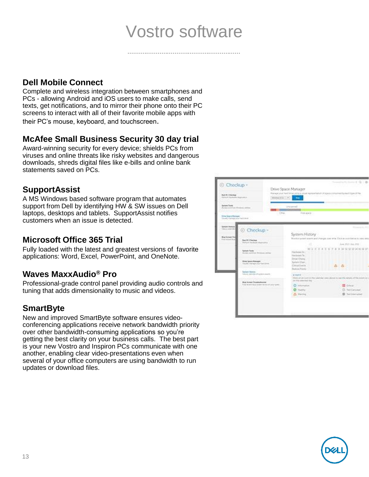# Vostro software

### **Dell Mobile Connect**

Complete and wireless integration between smartphones and PCs - allowing Android and iOS users to make calls, send texts, get notifications, and to mirror their phone onto their PC screens to interact with all of their favorite mobile apps with their PC's mouse, keyboard, and touchscreen.

### **McAfee Small Business Security 30 day trial**

Award-winning security for every device; shields PCs from viruses and online threats like risky websites and dangerous downloads, shreds digital files like e-bills and online bank statements saved on PCs.

### **SupportAssist**

A MS Windows based software program that automates support from Dell by identifying HW & SW issues on Dell laptops, desktops and tablets. SupportAssist notifies customers when an issue is detected.

### **Microsoft Office 365 Trial**

Fully loaded with the latest and greatest versions of favorite applications: Word, Excel, PowerPoint, and OneNote.

### **Waves MaxxAudio® Pro**

Professional-grade control panel providing audio controls and tuning that adds dimensionality to music and videos.

### **SmartByte**

New and improved SmartByte software ensures videoconferencing applications receive network bandwidth priority over other bandwidth-consuming applications so you're getting the best clarity on your business calls. The best part is your new Vostro and Inspiron PCs communicate with one another, enabling clear video-presentations even when several of your office computers are using bandwidth to run updates or download files.



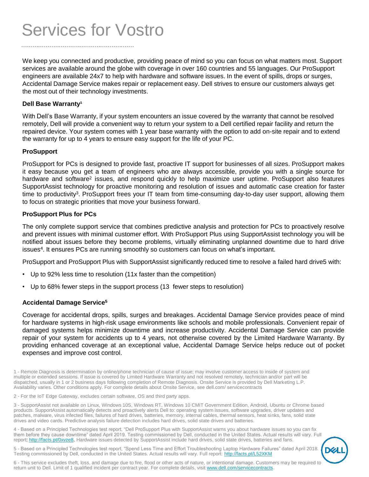# Services for Vostro

We keep you connected and productive, providing peace of mind so you can focus on what matters most. Support services are available around the globe with coverage in over 160 countries and 55 languages. Our ProSupport engineers are available 24x7 to help with hardware and software issues. In the event of spills, drops or surges, Accidental Damage Service makes repair or replacement easy. Dell strives to ensure our customers always get the most out of their technology investments.

#### **Dell Base Warranty<sup>1</sup>**

With Dell's Base Warranty, if your system encounters an issue covered by the warranty that cannot be resolved remotely, Dell will provide a convenient way to return your system to a Dell certified repair facility and return the repaired device. Your system comes with 1 year base warranty with the option to add on-site repair and to extend the warranty for up to 4 years to ensure easy support for the life of your PC.

#### **ProSupport**

ProSupport for PCs is designed to provide fast, proactive IT support for businesses of all sizes. ProSupport makes it easy because you get a team of engineers who are always accessible, provide you with a single source for hardware and software<sup>2</sup> issues, and respond quickly to help maximize user uptime. ProSupport also features SupportAssist technology for proactive monitoring and resolution of issues and automatic case creation for faster time to productivity<sup>3</sup>. ProSupport frees your IT team from time-consuming day-to-day user support, allowing them to focus on strategic priorities that move your business forward.

#### **ProSupport Plus for PCs**

The only complete support service that combines predictive analysis and protection for PCs to proactively resolve and prevent issues with minimal customer effort. With ProSupport Plus using SupportAssist technology you will be notified about issues before they become problems, virtually eliminating unplanned downtime due to hard drive issues<sup>4</sup>. It ensures PCs are running smoothly so customers can focus on what's important.

ProSupport and ProSupport Plus with SupportAssist significantly reduced time to resolve a failed hard drive5 with:

- Up to 92% less time to resolution (11x faster than the competition)
- Up to 68% fewer steps in the support process (13 fewer steps to resolution)

#### **Accidental Damage Service<sup>5</sup>**

Coverage for accidental drops, spills, surges and breakages. Accidental Damage Service provides peace of mind for hardware systems in high-risk usage environments like schools and mobile professionals. Convenient repair of damaged systems helps minimize downtime and increase productivity. Accidental Damage Service can provide repair of your system for accidents up to 4 years, not otherwise covered by the Limited Hardware Warranty. By providing enhanced coverage at an exceptional value, Accidental Damage Service helps reduce out of pocket expenses and improve cost control.

1 - Remote Diagnosis is determination by online/phone technician of cause of issue; may involve customer access to inside of system and multiple or extended sessions. If issue is covered by Limited Hardware Warranty and not resolved remotely, technician and/or part will be dispatched, usually in 1 or 2 business days following completion of Remote Diagnosis. Onsite Service is provided by Dell Marketing L.P. Availability varies. Other conditions apply. For complete details about Onsite Service, see dell.com/ servicecontracts

2 - For the IoT Edge Gateway, excludes certain software, OS and third party apps.

3 - SupportAssist not available on Linux, Windows 10S, Windows RT, Windows 10 CMIT Government Edition, Android, Ubuntu or Chrome based products. SupportAssist automatically detects and proactively alerts Dell to: operating system issues, software upgrades, driver updates and patches, malware, virus infected files, failures of hard drives, batteries, memory, internal cables, thermal sensors, heat sinks, fans, solid state drives and video cards. Predictive analysis failure detection includes hard drives, solid state drives and batteries.

4 - Based on a Principled Technologies test report, "Dell ProSupport Plus with SupportAssist warns you about hardware issues so you can fix them before they cause downtime" dated April 2019. Testing commissioned by Dell, conducted in the United States. Actual results will vary. Full report:<http://facts.pt/0xvze8>. Hardware issues detected by SupportAssist include hard drives, solid state drives, batteries and fans.

5 - Based on a Principled Technologies test report, "Spend Less Time and Effort Troubleshooting Laptop Hardware Failures" dated April 2018. Testing commissioned by Dell, conducted in the United States. Actual results will vary. Full report: <http://facts.pt/L52XKM>

6 - This service excludes theft, loss, and damage due to fire, flood or other acts of nature, or intentional damage. Customers may be required to return unit to Dell. Limit of 1 qualified incident per contract year. For complete details, visit [www.dell.com/servicecontracts](http://www.dell.com/servicecontracts).

**DEAL**